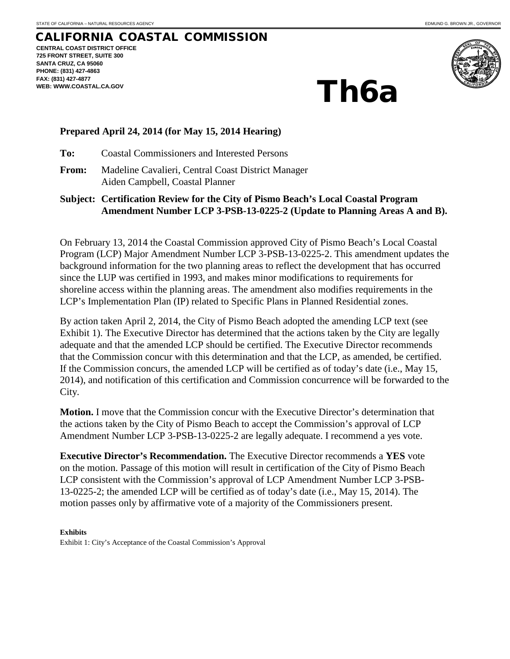### CALIFORNIA COASTAL COMMISSION **CENTRAL COAST DISTRICT OFFICE 725 FRONT STREET, SUITE 300 SANTA CRUZ, CA 95060 PHONE: (831) 427-4863 FAX: (831) 427-4877 WEB: WWW.COASTAL.CA.GOV**



# Th6a

# **Prepared April 24, 2014 (for May 15, 2014 Hearing)**

**To:** Coastal Commissioners and Interested Persons

**From:** Madeline Cavalieri, Central Coast District Manager Aiden Campbell, Coastal Planner

# **Subject: Certification Review for the City of Pismo Beach's Local Coastal Program Amendment Number LCP 3-PSB-13-0225-2 (Update to Planning Areas A and B).**

On February 13, 2014 the Coastal Commission approved City of Pismo Beach's Local Coastal Program (LCP) Major Amendment Number LCP 3-PSB-13-0225-2. This amendment updates the background information for the two planning areas to reflect the development that has occurred since the LUP was certified in 1993, and makes minor modifications to requirements for shoreline access within the planning areas. The amendment also modifies requirements in the LCP's Implementation Plan (IP) related to Specific Plans in Planned Residential zones.

By action taken April 2, 2014, the City of Pismo Beach adopted the amending LCP text (see Exhibit 1). The Executive Director has determined that the actions taken by the City are legally adequate and that the amended LCP should be certified. The Executive Director recommends that the Commission concur with this determination and that the LCP, as amended, be certified. If the Commission concurs, the amended LCP will be certified as of today's date (i.e., May 15, 2014), and notification of this certification and Commission concurrence will be forwarded to the City.

**Motion.** I move that the Commission concur with the Executive Director's determination that the actions taken by the City of Pismo Beach to accept the Commission's approval of LCP Amendment Number LCP 3-PSB-13-0225-2 are legally adequate. I recommend a yes vote.

**Executive Director's Recommendation.** The Executive Director recommends a **YES** vote on the motion. Passage of this motion will result in certification of the City of Pismo Beach LCP consistent with the Commission's approval of LCP Amendment Number LCP 3-PSB-13-0225-2; the amended LCP will be certified as of today's date (i.e., May 15, 2014). The motion passes only by affirmative vote of a majority of the Commissioners present.

## **Exhibits**

Exhibit 1: City's Acceptance of the Coastal Commission's Approval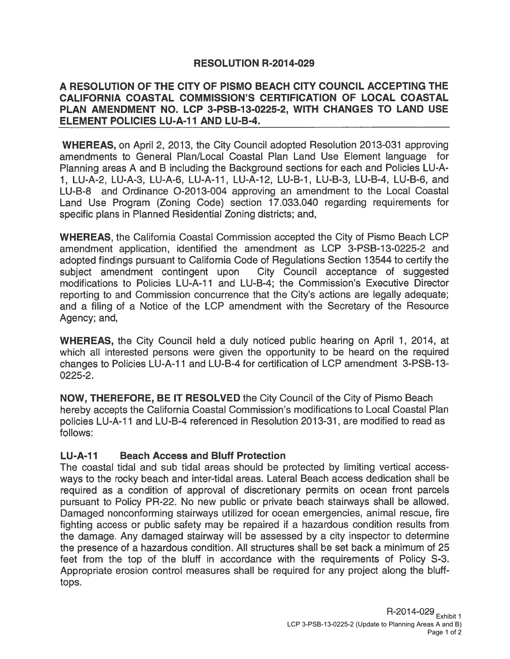# **RESOLUTION R-2014-029**

# A RESOLUTION OF THE CITY OF PISMO BEACH CITY COUNCIL ACCEPTING THE CALIFORNIA COASTAL COMMISSION'S CERTIFICATION OF LOCAL COASTAL PLAN AMENDMENT NO. LCP 3-PSB-13-0225-2, WITH CHANGES TO LAND USE **ELEMENT POLICIES LU-A-11 AND LU-B-4.**

**WHEREAS, on April 2, 2013, the City Council adopted Resolution 2013-031 approving** amendments to General Plan/Local Coastal Plan Land Use Element language for Planning areas A and B including the Background sections for each and Policies LU-A-1, LU-A-2, LU-A-3, LU-A-6, LU-A-11, LU-A-12, LU-B-1, LU-B-3, LU-B-4, LU-B-6, and LU-B-8 and Ordinance O-2013-004 approving an amendment to the Local Coastal Land Use Program (Zoning Code) section 17.033.040 regarding requirements for specific plans in Planned Residential Zoning districts; and,

**WHEREAS, the California Coastal Commission accepted the City of Pismo Beach LCP** amendment application, identified the amendment as LCP 3-PSB-13-0225-2 and adopted findings pursuant to California Code of Regulations Section 13544 to certify the subject amendment contingent upon City Council acceptance of suggested modifications to Policies LU-A-11 and LU-B-4; the Commission's Executive Director reporting to and Commission concurrence that the City's actions are legally adequate; and a filing of a Notice of the LCP amendment with the Secretary of the Resource Agency; and,

**WHEREAS,** the City Council held a duly noticed public hearing on April 1, 2014, at which all interested persons were given the opportunity to be heard on the required changes to Policies LU-A-11 and LU-B-4 for certification of LCP amendment 3-PSB-13- $0225 - 2.$ 

**NOW, THEREFORE, BE IT RESOLVED** the City Council of the City of Pismo Beach hereby accepts the California Coastal Commission's modifications to Local Coastal Plan policies LU-A-11 and LU-B-4 referenced in Resolution 2013-31, are modified to read as follows:

#### $LU-A-11$ **Beach Access and Bluff Protection**

The coastal tidal and sub tidal areas should be protected by limiting vertical accessways to the rocky beach and inter-tidal areas. Lateral Beach access dedication shall be required as a condition of approval of discretionary permits on ocean front parcels pursuant to Policy PR-22. No new public or private beach stairways shall be allowed. Damaged nonconforming stairways utilized for ocean emergencies, animal rescue, fire fighting access or public safety may be repaired if a hazardous condition results from the damage. Any damaged stairway will be assessed by a city inspector to determine the presence of a hazardous condition. All structures shall be set back a minimum of 25 feet from the top of the bluff in accordance with the requirements of Policy S-3. Appropriate erosion control measures shall be required for any project along the blufftops.